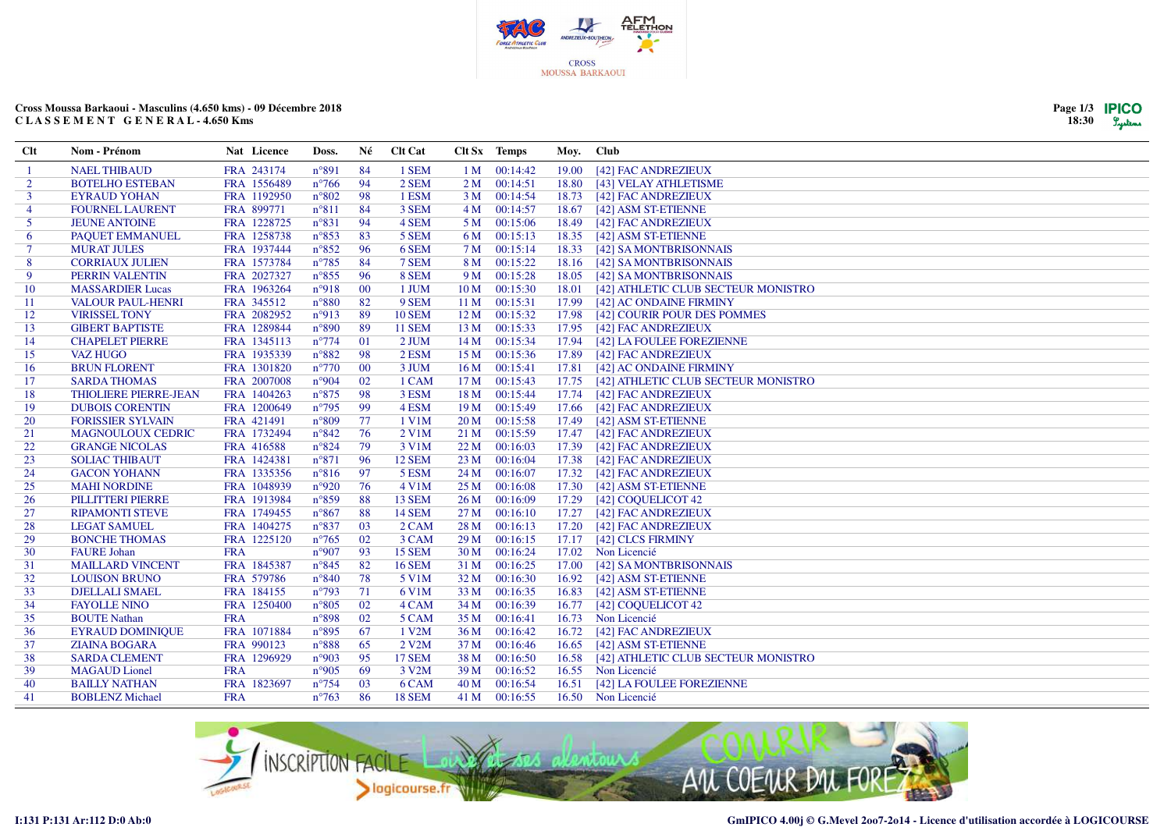

## **Cross Moussa Barkaoui - Masculins (4.650 kms) - 09 Décembre 2018C L A S S E M E N T G E N E R A L - 4.650 Kms**

| Page 1/3 | <b>IPICO</b> |
|----------|--------------|
| 18:30    | Lystems      |

| <b>Clt</b>     | Nom - Prénom             | Nat Licence | Doss.          | Né     | <b>Clt Cat</b> |                 | Clt Sx Temps  | Moy. Club |                                     |
|----------------|--------------------------|-------------|----------------|--------|----------------|-----------------|---------------|-----------|-------------------------------------|
|                | <b>NAEL THIBAUD</b>      | FRA 243174  | $n^{\circ}891$ | -84    | 1 SEM          |                 | 1 M 00:14:42  | 19.00     | [42] FAC ANDREZIEUX                 |
| $\overline{2}$ | <b>BOTELHO ESTEBAN</b>   | FRA 1556489 | $n^{\circ}766$ | 94     | 2 SEM          | 2M              | 00:14:51      | 18.80     | [43] VELAY ATHLETISME               |
| $\mathbf{3}$   | <b>EYRAUD YOHAN</b>      | FRA 1192950 | $n^{\circ}802$ | 98     | 1 ESM          |                 | 3 M 00:14:54  | 18.73     | [42] FAC ANDREZIEUX                 |
| $\overline{4}$ | <b>FOURNEL LAURENT</b>   | FRA 899771  | $n^{\circ}811$ | 84     | 3 SEM          | 4 M             | 00:14:57      | 18.67     | [42] ASM ST-ETIENNE                 |
| 5              | <b>JEUNE ANTOINE</b>     | FRA 1228725 | $n^{\circ}831$ | 94     | 4 SEM          | 5 M             | 00:15:06      | 18.49     | [42] FAC ANDREZIEUX                 |
| 6              | PAQUET EMMANUEL          | FRA 1258738 | $n^{\circ}853$ | 83     | 5 SEM          | 6 M             | 00:15:13      | 18.35     | [42] ASM ST-ETIENNE                 |
| $\tau$         | <b>MURAT JULES</b>       | FRA 1937444 | $n^{\circ}852$ | 96     | 6 SEM          | 7 M             | 00:15:14      | 18.33     | [42] SA MONTBRISONNAIS              |
| 8              | <b>CORRIAUX JULIEN</b>   | FRA 1573784 | $n^{\circ}785$ | 84     | 7 SEM          | 8 M             | 00:15:22      | 18.16     | [42] SA MONTBRISONNAIS              |
| -9             | PERRIN VALENTIN          | FRA 2027327 | $n^{\circ}855$ | -96    | 8 SEM          | 9 M             | 00:15:28      | 18.05     | [42] SA MONTBRISONNAIS              |
| 10             | <b>MASSARDIER Lucas</b>  | FRA 1963264 | $n^{\circ}918$ | 00     | 1 JUM          | 10 <sub>M</sub> | 00:15:30      | 18.01     | [42] ATHLETIC CLUB SECTEUR MONISTRO |
| 11             | VALOUR PAUL-HENRI        | FRA 345512  | $n^{\circ}880$ | 82     | 9 SEM          | 11 <sub>M</sub> | 00:15:31      | 17.99     | [42] AC ONDAINE FIRMINY             |
| 12             | <b>VIRISSEL TONY</b>     | FRA 2082952 | n°913          | 89     | <b>10 SEM</b>  | 12 <sub>M</sub> | 00:15:32      | 17.98     | [42] COURIR POUR DES POMMES         |
| 13             | <b>GIBERT BAPTISTE</b>   | FRA 1289844 | $n^{\circ}890$ | 89     | <b>11 SEM</b>  | 13 M            | 00:15:33      | 17.95     | [42] FAC ANDREZIEUX                 |
| 14             | <b>CHAPELET PIERRE</b>   | FRA 1345113 | $n^{\circ}774$ | 01     | 2 JUM          |                 | 14 M 00:15:34 | 17.94     | [42] LA FOULEE FOREZIENNE           |
| 15             | <b>VAZ HUGO</b>          | FRA 1935339 | $n^{\circ}882$ | 98     | 2 ESM          |                 | 15 M 00:15:36 | 17.89     | [42] FAC ANDREZIEUX                 |
| 16             | <b>BRUN FLORENT</b>      | FRA 1301820 | $n^{\circ}770$ | $00\,$ | 3 JUM          | 16M             | 00:15:41      | 17.81     | [42] AC ONDAINE FIRMINY             |
| 17             | <b>SARDA THOMAS</b>      | FRA 2007008 | n°904          | 02     | 1 CAM          | 17 <sub>M</sub> | 00:15:43      | 17.75     | [42] ATHLETIC CLUB SECTEUR MONISTRO |
| 18             | THIOLIERE PIERRE-JEAN    | FRA 1404263 | $n^{\circ}875$ | 98     | 3 ESM          |                 | 18 M 00:15:44 | 17.74     | [42] FAC ANDREZIEUX                 |
| 19             | <b>DUBOIS CORENTIN</b>   | FRA 1200649 | $n^{\circ}795$ | -99    | 4 ESM          | 19 <sub>M</sub> | 00:15:49      | 17.66     | [42] FAC ANDREZIEUX                 |
| 20             | <b>FORISSIER SYLVAIN</b> | FRA 421491  | $n^{\circ}809$ | 77     | 1 V1M          | 20 <sub>M</sub> | 00:15:58      | 17.49     | [42] ASM ST-ETIENNE                 |
| 21             | <b>MAGNOULOUX CEDRIC</b> | FRA 1732494 | $n^{\circ}842$ | 76     | 2 V1M          | 21 M            | 00:15:59      | 17.47     | [42] FAC ANDREZIEUX                 |
| 22             | <b>GRANGE NICOLAS</b>    | FRA 416588  | $n^{\circ}824$ | 79     | 3 V1M          | 22 M            | 00:16:03      | 17.39     | [42] FAC ANDREZIEUX                 |
| 23             | <b>SOLIAC THIBAUT</b>    | FRA 1424381 | $n^{\circ}871$ | 96     | 12 SEM         | 23M             | 00:16:04      | 17.38     | [42] FAC ANDREZIEUX                 |
| 24             | <b>GACON YOHANN</b>      | FRA 1335356 | $n^{\circ}816$ | 97     | 5 ESM          | 24 M            | 00:16:07      | 17.32     | [42] FAC ANDREZIEUX                 |
| 25             | <b>MAHI NORDINE</b>      | FRA 1048939 | $n^{\circ}920$ | 76     | 4 V1M          | 25 M            | 00:16:08      | 17.30     | [42] ASM ST-ETIENNE                 |
| 26             | PILLITTERI PIERRE        | FRA 1913984 | $n^{\circ}859$ | 88     | <b>13 SEM</b>  | 26 M            | 00:16:09      | 17.29     | [42] COQUELICOT 42                  |
| 27             | <b>RIPAMONTI STEVE</b>   | FRA 1749455 | $n^{\circ}867$ | 88     | <b>14 SEM</b>  | 27 <sub>M</sub> | 00:16:10      | 17.27     | [42] FAC ANDREZIEUX                 |
| 28             | <b>LEGAT SAMUEL</b>      | FRA 1404275 | $n^{\circ}837$ | 03     | 2 CAM          | 28 M            | 00:16:13      | 17.20     | [42] FAC ANDREZIEUX                 |
| 29             | <b>BONCHE THOMAS</b>     | FRA 1225120 | $n^{\circ}765$ | 02     | 3 CAM          | 29 <sub>M</sub> | 00:16:15      | 17.17     | [42] CLCS FIRMINY                   |
| 30             | <b>FAURE</b> Johan       | <b>FRA</b>  | $n^{\circ}907$ | 93     | <b>15 SEM</b>  | 30 M            | 00:16:24      | 17.02     | Non Licencié                        |
| 31             | <b>MAILLARD VINCENT</b>  | FRA 1845387 | $n^{\circ}845$ | 82     | <b>16 SEM</b>  | 31 M            | 00:16:25      | 17.00     | [42] SA MONTBRISONNAIS              |
| 32             | <b>LOUISON BRUNO</b>     | FRA 579786  | $n^{\circ}840$ | 78     | 5 V1M          | 32 M            | 00:16:30      | 16.92     | [42] ASM ST-ETIENNE                 |
| 33             | <b>DJELLALI SMAEL</b>    | FRA 184155  | $n^{\circ}793$ | 71     | 6 V1M          | 33 M            | 00:16:35      | 16.83     | [42] ASM ST-ETIENNE                 |
| 34             | <b>FAYOLLE NINO</b>      | FRA 1250400 | $n^{\circ}805$ | 02     | 4 CAM          | 34 M            | 00:16:39      | 16.77     | [42] COQUELICOT 42                  |
| 35             | <b>BOUTE Nathan</b>      | <b>FRA</b>  | $n^{\circ}898$ | 02     | 5 CAM          | 35 M            | 00:16:41      |           | 16.73 Non Licencié                  |
| 36             | <b>EYRAUD DOMINIQUE</b>  | FRA 1071884 | $n^{\circ}895$ | 67     | 1 V2M          | 36 M            | 00:16:42      | 16.72     | [42] FAC ANDREZIEUX                 |
| 37             | <b>ZIAINA BOGARA</b>     | FRA 990123  | $n^{\circ}888$ | 65     | 2 V2M          | 37 M            | 00:16:46      | 16.65     | [42] ASM ST-ETIENNE                 |
| 38             | <b>SARDA CLEMENT</b>     | FRA 1296929 | n°903          | 95     | <b>17 SEM</b>  | 38 M            | 00:16:50      | 16.58     | [42] ATHLETIC CLUB SECTEUR MONISTRO |
| 39             | <b>MAGAUD</b> Lionel     | <b>FRA</b>  | $n^{\circ}905$ | 69     | 3 V2M          | 39 M            | 00:16:52      |           | 16.55 Non Licencié                  |
| 40             | <b>BAILLY NATHAN</b>     | FRA 1823697 | $n^{\circ}754$ | 03     | 6 CAM          | 40 M            | 00:16:54      | 16.51     | [42] LA FOULEE FOREZIENNE           |
| 41             | <b>BOBLENZ Michael</b>   | <b>FRA</b>  | $n^{\circ}763$ | 86     | <b>18 SEM</b>  |                 | 41 M 00:16:55 |           | 16.50 Non Licencié                  |

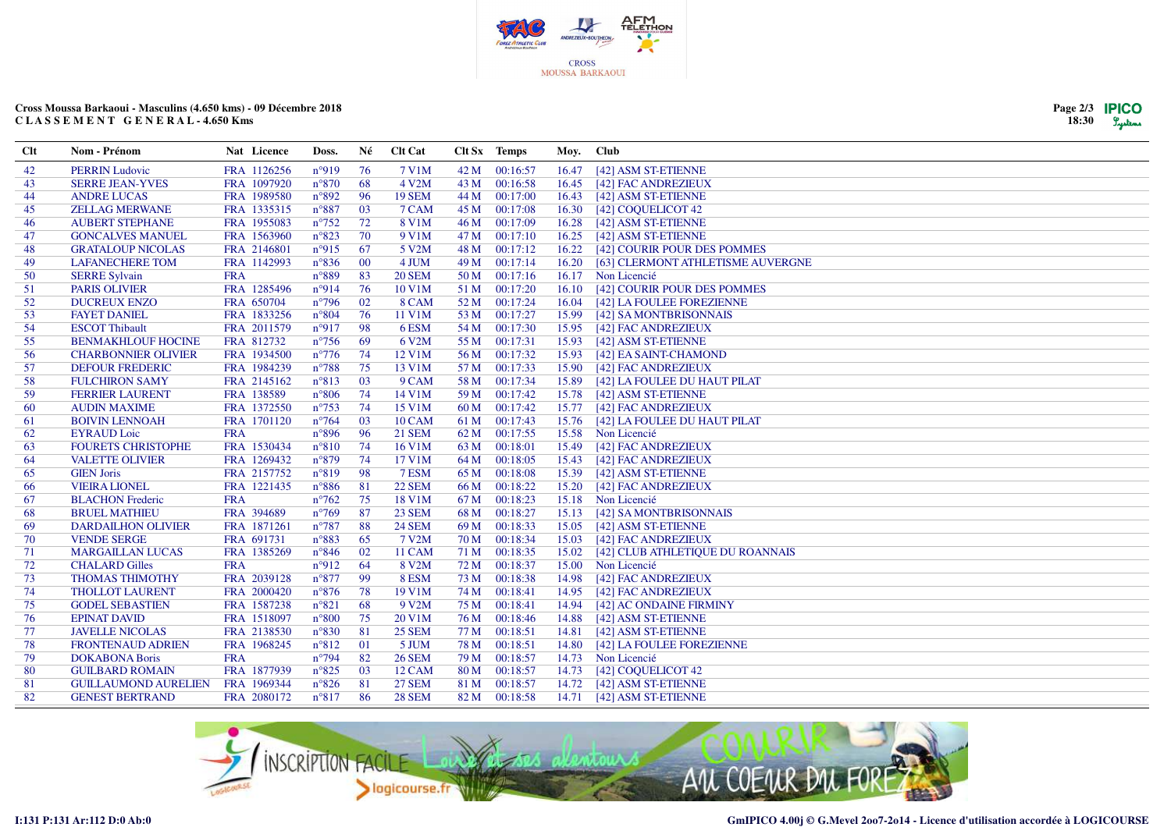

## **Cross Moussa Barkaoui - Masculins (4.650 kms) - 09 Décembre 2018C L A S S E M E N T G E N E R A L - 4.650 Kms**

| Page $2/3$ | <b>IPICO</b> |
|------------|--------------|
| 18:30      | Lystems      |

| Clt | Nom - Prénom                | Nat Licence | Doss.          | Né  | <b>Clt Cat</b> |      | Clt Sx Temps  | Moy.  | <b>Club</b>                       |
|-----|-----------------------------|-------------|----------------|-----|----------------|------|---------------|-------|-----------------------------------|
| 42  | <b>PERRIN Ludovic</b>       | FRA 1126256 | $n^{\circ}919$ | 76  | 7 V1M          | 42 M | 00:16:57      | 16.47 | [42] ASM ST-ETIENNE               |
| 43  | <b>SERRE JEAN-YVES</b>      | FRA 1097920 | $n^{\circ}870$ | 68  | 4 V2M          | 43 M | 00:16:58      | 16.45 | [42] FAC ANDREZIEUX               |
| 44  | <b>ANDRE LUCAS</b>          | FRA 1989580 | $n^{\circ}892$ | 96  | <b>19 SEM</b>  | 44 M | 00:17:00      | 16.43 | [42] ASM ST-ETIENNE               |
| 45  | <b>ZELLAG MERWANE</b>       | FRA 1335315 | $n^{\circ}887$ | 03  | 7 CAM          | 45 M | 00:17:08      | 16.30 | [42] COQUELICOT 42                |
| 46  | <b>AUBERT STEPHANE</b>      | FRA 1955083 | $n^{\circ}752$ | 72  | 8 V1M          | 46 M | 00:17:09      | 16.28 | [42] ASM ST-ETIENNE               |
| 47  | <b>GONCALVES MANUEL</b>     | FRA 1563960 | $n^{\circ}823$ | 70  | 9 V1M          | 47 M | 00:17:10      | 16.25 | [42] ASM ST-ETIENNE               |
| 48  | <b>GRATALOUP NICOLAS</b>    | FRA 2146801 | $n^{\circ}915$ | 67  | 5 V2M          | 48 M | 00:17:12      |       | 16.22 [42] COURIR POUR DES POMMES |
| 49  | <b>LAFANECHERE TOM</b>      | FRA 1142993 | $n^{\circ}836$ | 00  | 4 JUM          | 49 M | 00:17:14      | 16.20 | [63] CLERMONT ATHLETISME AUVERGNE |
| 50  | <b>SERRE Sylvain</b>        | <b>FRA</b>  | $n^{\circ}889$ | 83  | <b>20 SEM</b>  | 50 M | 00:17:16      |       | 16.17 Non Licencié                |
| 51  | <b>PARIS OLIVIER</b>        | FRA 1285496 | n°914          | 76  | 10 V1M         | 51 M | 00:17:20      | 16.10 | [42] COURIR POUR DES POMMES       |
| 52  | <b>DUCREUX ENZO</b>         | FRA 650704  | $n^{\circ}796$ | 02  | 8 CAM          | 52 M | 00:17:24      | 16.04 | [42] LA FOULEE FOREZIENNE         |
| 53  | <b>FAYET DANIEL</b>         | FRA 1833256 | $n^{\circ}804$ | 76  | 11 V1M         | 53 M | 00:17:27      |       | 15.99 [42] SA MONTBRISONNAIS      |
| 54  | <b>ESCOT Thibault</b>       | FRA 2011579 | $n^{\circ}917$ | 98  | 6ESM           | 54 M | 00:17:30      | 15.95 | [42] FAC ANDREZIEUX               |
| 55  | <b>BENMAKHLOUF HOCINE</b>   | FRA 812732  | $n^{\circ}756$ | 69  | 6 V2M          | 55 M | 00:17:31      | 15.93 | [42] ASM ST-ETIENNE               |
| 56  | <b>CHARBONNIER OLIVIER</b>  | FRA 1934500 | $n^{\circ}776$ | 74  | 12 V1M         | 56 M | 00:17:32      | 15.93 | [42] EA SAINT-CHAMOND             |
| 57  | <b>DEFOUR FREDERIC</b>      | FRA 1984239 | $n^{\circ}788$ | 75  | 13 V1M         | 57 M | 00:17:33      |       | 15.90 [42] FAC ANDREZIEUX         |
| 58  | <b>FULCHIRON SAMY</b>       | FRA 2145162 | $n^{\circ}813$ | 03  | 9 CAM          | 58 M | 00:17:34      | 15.89 | [42] LA FOULEE DU HAUT PILAT      |
| 59  | <b>FERRIER LAURENT</b>      | FRA 138589  | $n^{\circ}806$ | 74  | 14 V1M         | 59 M | 00:17:42      |       | 15.78 [42] ASM ST-ETIENNE         |
| 60  | <b>AUDIN MAXIME</b>         | FRA 1372550 | $n^{\circ}753$ | 74  | 15 V1M         | 60 M | 00:17:42      |       | 15.77 [42] FAC ANDREZIEUX         |
| 61  | <b>BOIVIN LENNOAH</b>       | FRA 1701120 | $n^{\circ}764$ | 03  | <b>10 CAM</b>  | 61 M | 00:17:43      | 15.76 | [42] LA FOULEE DU HAUT PILAT      |
| 62  | <b>EYRAUD</b> Loic          | <b>FRA</b>  | $n^{\circ}896$ | 96  | <b>21 SEM</b>  | 62 M | 00:17:55      |       | 15.58 Non Licencié                |
| 63  | <b>FOURETS CHRISTOPHE</b>   | FRA 1530434 | $n^{\circ}810$ | 74  | 16 V1M         | 63 M | 00:18:01      |       | 15.49 [42] FAC ANDREZIEUX         |
| 64  | <b>VALETTE OLIVIER</b>      | FRA 1269432 | $n^{\circ}879$ | 74  | 17 V1M         | 64 M | 00:18:05      |       | 15.43 [42] FAC ANDREZIEUX         |
| 65  | <b>GIEN Joris</b>           | FRA 2157752 | $n^{\circ}819$ | 98  | 7 ESM          | 65 M | 00:18:08      | 15.39 | [42] ASM ST-ETIENNE               |
| 66  | <b>VIEIRA LIONEL</b>        | FRA 1221435 | $n^{\circ}886$ | 81  | <b>22 SEM</b>  | 66 M | 00:18:22      | 15.20 | [42] FAC ANDREZIEUX               |
| 67  | <b>BLACHON Frederic</b>     | <b>FRA</b>  | $n^{\circ}762$ | 75  | 18 V1M         | 67 M | 00:18:23      |       | 15.18 Non Licencié                |
| 68  | <b>BRUEL MATHIEU</b>        | FRA 394689  | $n^{\circ}769$ | 87  | <b>23 SEM</b>  | 68 M | 00:18:27      |       | 15.13 [42] SA MONTBRISONNAIS      |
| 69  | <b>DARDAILHON OLIVIER</b>   | FRA 1871261 | $n^{\circ}787$ | 88  | <b>24 SEM</b>  | 69 M | 00:18:33      |       | 15.05 [42] ASM ST-ETIENNE         |
| 70  | <b>VENDE SERGE</b>          | FRA 691731  | $n^{\circ}883$ | 65  | 7 V2M          | 70 M | 00:18:34      | 15.03 | [42] FAC ANDREZIEUX               |
| 71  | <b>MARGAILLAN LUCAS</b>     | FRA 1385269 | $n^{\circ}846$ | 02  | 11 CAM         |      | 71 M 00:18:35 | 15.02 | [42] CLUB ATHLETIQUE DU ROANNAIS  |
| 72  | <b>CHALARD Gilles</b>       | <b>FRA</b>  | $n^{\circ}912$ | 64  | 8 V2M          |      | 72 M 00:18:37 | 15.00 | Non Licencié                      |
| 73  | <b>THOMAS THIMOTHY</b>      | FRA 2039128 | $n^{\circ}877$ | -99 | 8 ESM          | 73 M | 00:18:38      | 14.98 | [42] FAC ANDREZIEUX               |
| 74  | <b>THOLLOT LAURENT</b>      | FRA 2000420 | $n^{\circ}876$ | 78  | 19 V1M         | 74 M | 00:18:41      |       | 14.95 [42] FAC ANDREZIEUX         |
| 75  | <b>GODEL SEBASTIEN</b>      | FRA 1587238 | $n^{\circ}821$ | 68  | 9 V2M          |      | 75 M 00:18:41 |       | 14.94 [42] AC ONDAINE FIRMINY     |
| 76  | <b>EPINAT DAVID</b>         | FRA 1518097 | $n^{\circ}800$ | 75  | 20 V1M         |      | 76 M 00:18:46 | 14.88 | [42] ASM ST-ETIENNE               |
| 77  | <b>JAVELLE NICOLAS</b>      | FRA 2138530 | $n^{\circ}830$ | 81  | 25 SEM         | 77 M | 00:18:51      |       | 14.81 [42] ASM ST-ETIENNE         |
| 78  | <b>FRONTENAUD ADRIEN</b>    | FRA 1968245 | $n^{\circ}812$ | 01  | 5 JUM          | 78 M | 00:18:51      | 14.80 | [42] LA FOULEE FOREZIENNE         |
| 79  | <b>DOKABONA Boris</b>       | <b>FRA</b>  | $n^{\circ}794$ | 82  | <b>26 SEM</b>  | 79 M | 00:18:57      |       | 14.73 Non Licencié                |
| 80  | <b>GUILBARD ROMAIN</b>      | FRA 1877939 | $n^{\circ}825$ | 03  | <b>12 CAM</b>  | 80 M | 00:18:57      |       | 14.73 [42] COQUELICOT 42          |
| 81  | <b>GUILLAUMOND AURELIEN</b> | FRA 1969344 | $n^{\circ}826$ | 81  | <b>27 SEM</b>  | 81 M | 00:18:57      |       | 14.72 [42] ASM ST-ETIENNE         |
| 82  | <b>GENEST BERTRAND</b>      | FRA 2080172 | $n^{\circ}817$ | 86  | <b>28 SEM</b>  |      | 82 M 00:18:58 |       | 14.71 [42] ASM ST-ETIENNE         |